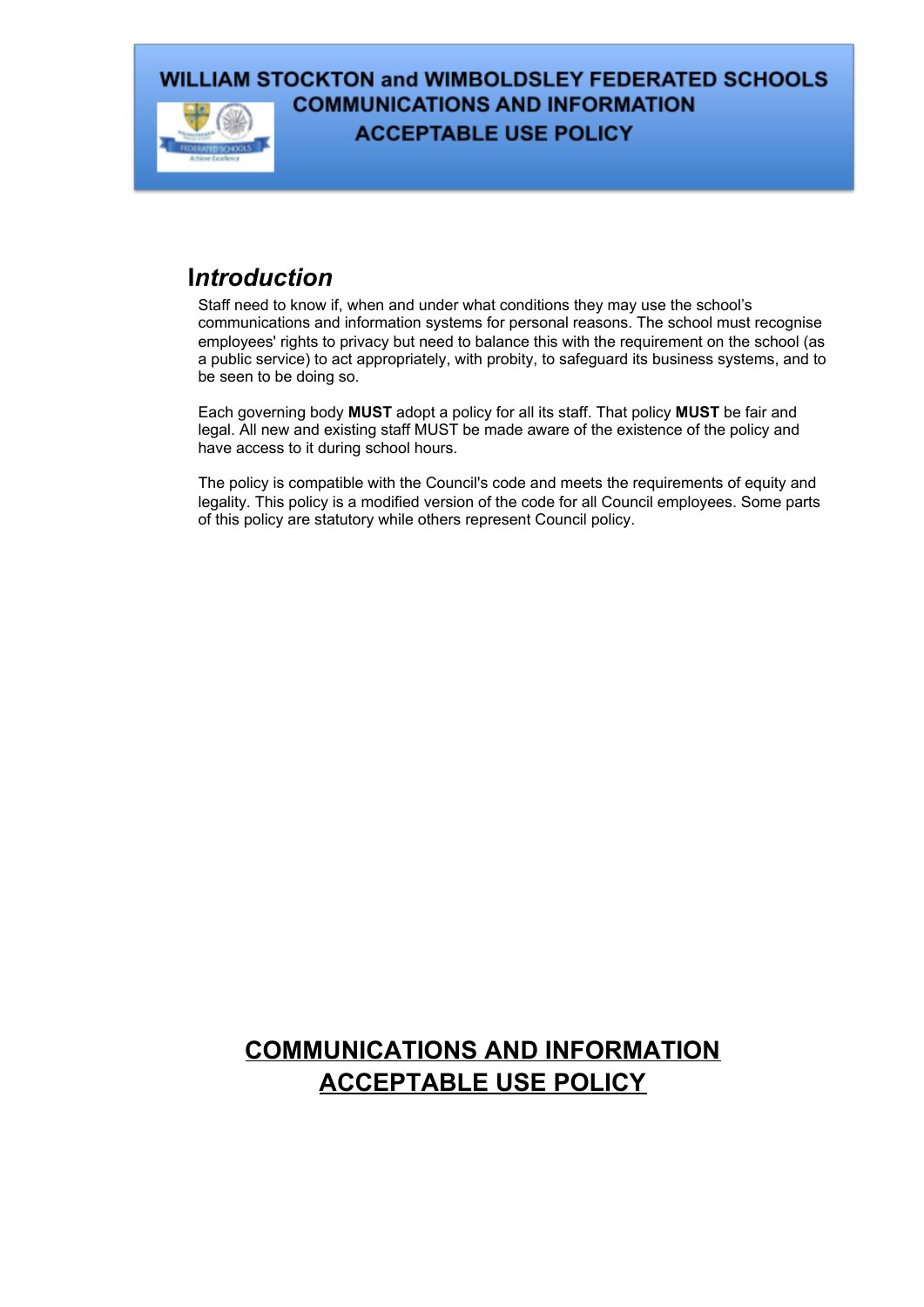

## **I***ntroduction*

Staff need to know if, when and under what conditions they may use the school's communications and information systems for personal reasons. The school must recognise employees' rights to privacy but need to balance this with the requirement on the school (as a public service) to act appropriately, with probity, to safeguard its business systems, and to be seen to be doing so.

Each governing body **MUST** adopt a policy for all its staff. That policy **MUST** be fair and legal. All new and existing staff MUST be made aware of the existence of the policy and have access to it during school hours.

The policy is compatible with the Council's code and meets the requirements of equity and legality. This policy is a modified version of the code for all Council employees. Some parts of this policy are statutory while others represent Council policy.

# **COMMUNICATIONS AND INFORMATION ACCEPTABLE USE POLICY**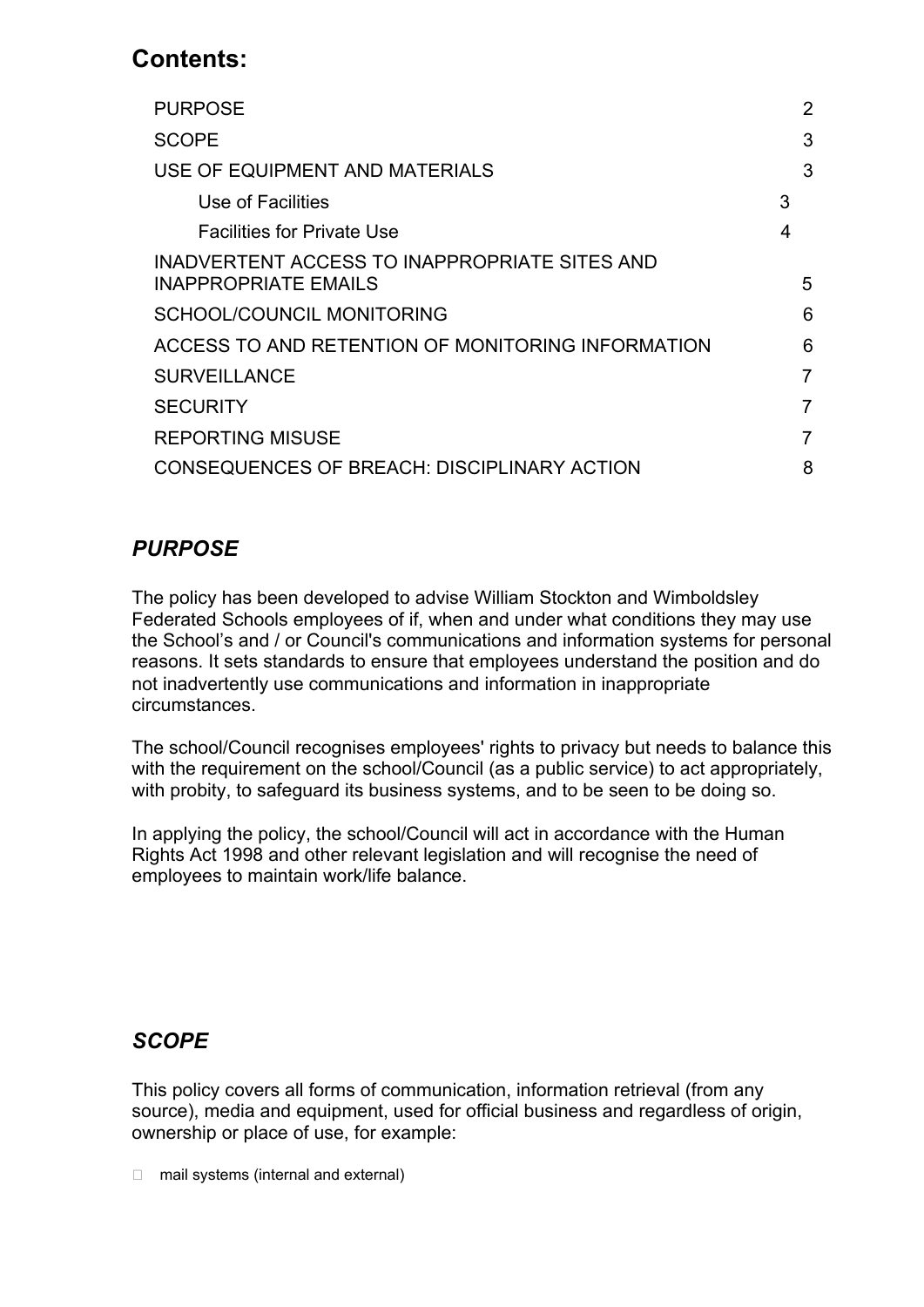# **Contents:**

| <b>PURPOSE</b>                                    | 2 |  |
|---------------------------------------------------|---|--|
| <b>SCOPE</b>                                      | 3 |  |
| USE OF EQUIPMENT AND MATERIALS                    | 3 |  |
| Use of Facilities                                 | 3 |  |
| <b>Facilities for Private Use</b>                 | 4 |  |
| INADVERTENT ACCESS TO INAPPROPRIATE SITES AND     |   |  |
| <b>INAPPROPRIATE EMAILS</b>                       | 5 |  |
| SCHOOL/COUNCIL MONITORING                         | 6 |  |
| ACCESS TO AND RETENTION OF MONITORING INFORMATION | 6 |  |
| <b>SURVEILLANCE</b>                               | 7 |  |
| <b>SECURITY</b>                                   | 7 |  |
| <b>REPORTING MISUSE</b>                           | 7 |  |
| CONSEQUENCES OF BREACH: DISCIPLINARY ACTION       | 8 |  |
|                                                   |   |  |

## *PURPOSE*

The policy has been developed to advise William Stockton and Wimboldsley Federated Schools employees of if, when and under what conditions they may use the School's and / or Council's communications and information systems for personal reasons. It sets standards to ensure that employees understand the position and do not inadvertently use communications and information in inappropriate circumstances.

The school/Council recognises employees' rights to privacy but needs to balance this with the requirement on the school/Council (as a public service) to act appropriately, with probity, to safeguard its business systems, and to be seen to be doing so.

In applying the policy, the school/Council will act in accordance with the Human Rights Act 1998 and other relevant legislation and will recognise the need of employees to maintain work/life balance.

### *SCOPE*

This policy covers all forms of communication, information retrieval (from any source), media and equipment, used for official business and regardless of origin, ownership or place of use, for example:

□ mail systems (internal and external)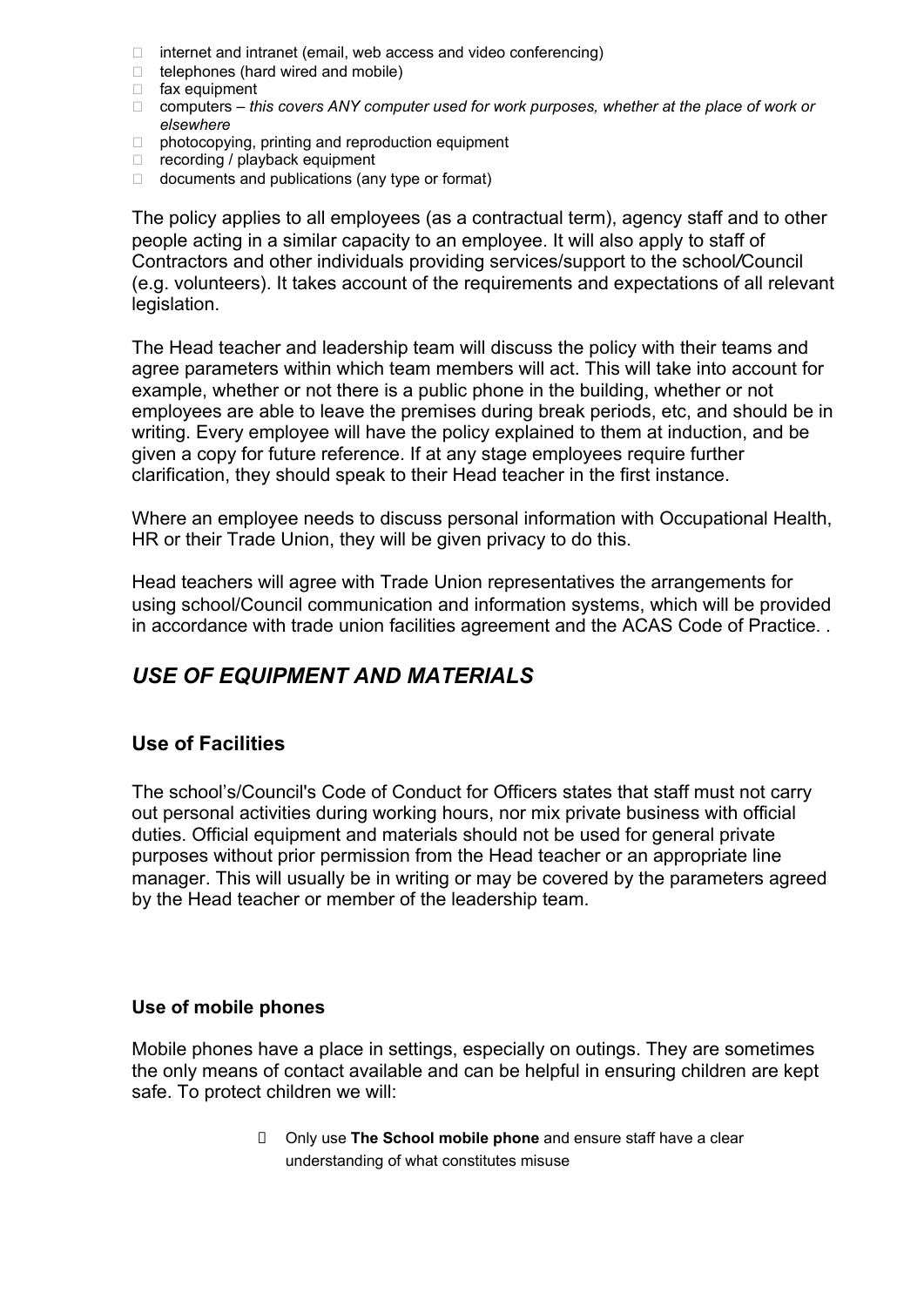- $\Box$  internet and intranet (email, web access and video conferencing)
- $\Box$  telephones (hard wired and mobile)
- fax equipment
- computers *this covers ANY computer used for work purposes, whether at the place of work or elsewhere*
- $\Box$  photocopying, printing and reproduction equipment
- $\Box$  recording / playback equipment
- $\Box$  documents and publications (any type or format)

The policy applies to all employees (as a contractual term), agency staff and to other people acting in a similar capacity to an employee. It will also apply to staff of Contractors and other individuals providing services/support to the school*/*Council (e.g. volunteers). It takes account of the requirements and expectations of all relevant legislation.

The Head teacher and leadership team will discuss the policy with their teams and agree parameters within which team members will act. This will take into account for example, whether or not there is a public phone in the building, whether or not employees are able to leave the premises during break periods, etc, and should be in writing. Every employee will have the policy explained to them at induction, and be given a copy for future reference. If at any stage employees require further clarification, they should speak to their Head teacher in the first instance.

Where an employee needs to discuss personal information with Occupational Health, HR or their Trade Union, they will be given privacy to do this.

Head teachers will agree with Trade Union representatives the arrangements for using school/Council communication and information systems, which will be provided in accordance with trade union facilities agreement and the ACAS Code of Practice. *.*

### <span id="page-2-0"></span>*USE OF EQUIPMENT AND MATERIALS*

#### **Use of Facilities**

The school's/Council's Code of Conduct for Officers states that staff must not carry out personal activities during working hours, nor mix private business with official duties. Official equipment and materials should not be used for general private purposes without prior permission from the Head teacher or an appropriate line manager. This will usually be in writing or may be covered by the parameters agreed by the Head teacher or member of the leadership team.

#### **Use of mobile phones**

Mobile phones have a place in settings, especially on outings. They are sometimes the only means of contact available and can be helpful in ensuring children are kept safe. To protect children we will:

> Only use **The School mobile phone** and ensure staff have a clear understanding of what constitutes misuse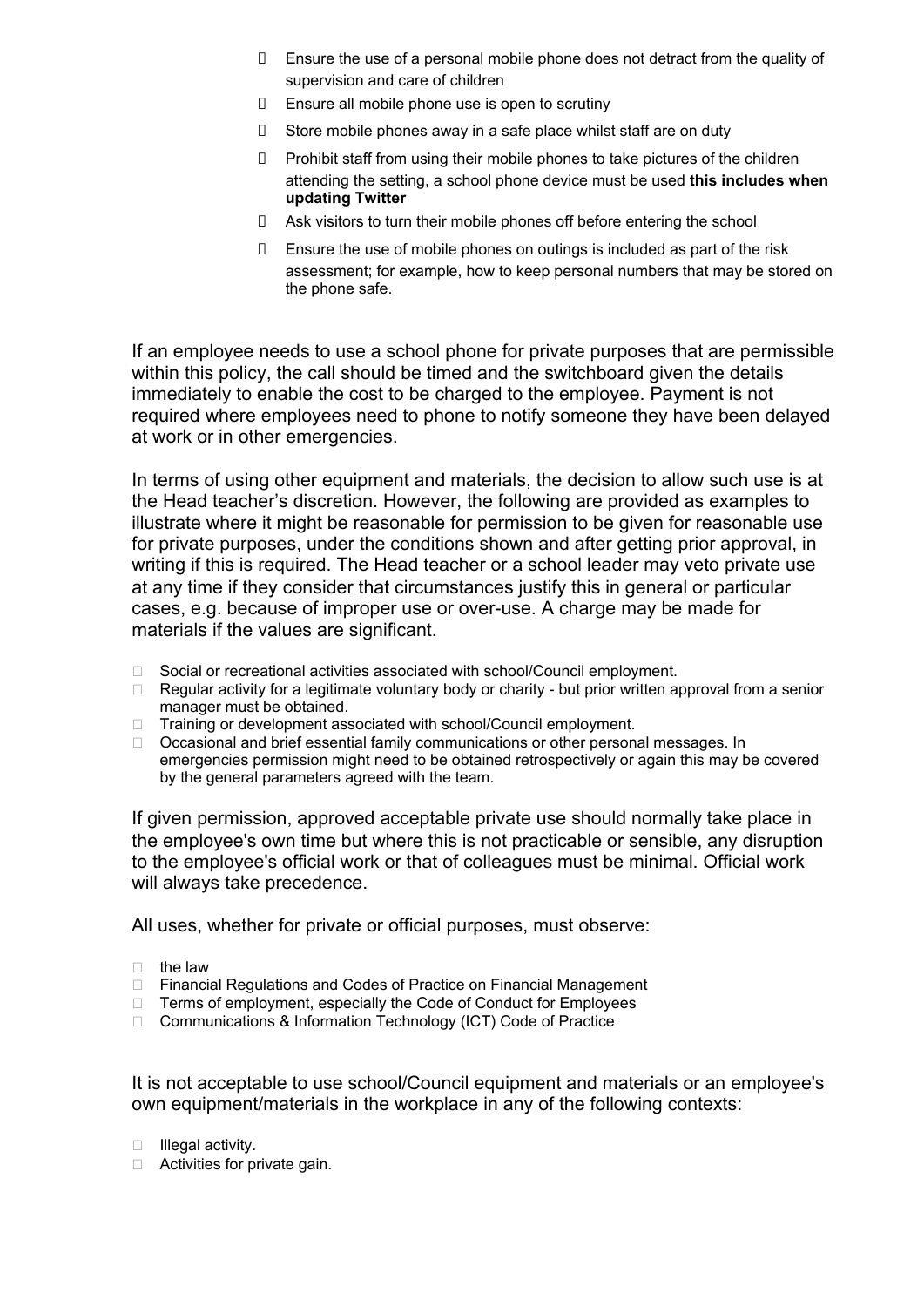- Ensure the use of a personal mobile phone does not detract from the quality of supervision and care of children
- $\Box$  Ensure all mobile phone use is open to scrutiny
- $\Box$  Store mobile phones away in a safe place whilst staff are on duty
- D Prohibit staff from using their mobile phones to take pictures of the children attending the setting, a school phone device must be used **this includes when updating Twitter**
- Ask visitors to turn their mobile phones off before entering the school
- $\Box$  Ensure the use of mobile phones on outings is included as part of the risk assessment; for example, how to keep personal numbers that may be stored on the phone safe.

If an employee needs to use a school phone for private purposes that are permissible within this policy, the call should be timed and the switchboard given the details immediately to enable the cost to be charged to the employee. Payment is not required where employees need to phone to notify someone they have been delayed at work or in other emergencies.

In terms of using other equipment and materials, the decision to allow such use is at the Head teacher's discretion. However, the following are provided as examples to illustrate where it might be reasonable for permission to be given for reasonable use for private purposes, under the conditions shown and after getting prior approval, in writing if this is required. The Head teacher or a school leader may veto private use at any time if they consider that circumstances justify this in general or particular cases, e.g. because of improper use or over-use. A charge may be made for materials if the values are significant.

- □ Social or recreational activities associated with school/Council employment.
- $\Box$  Regular activity for a legitimate voluntary body or charity but prior written approval from a senior manager must be obtained.
- □ Training or development associated with school/Council employment.
- □ Occasional and brief essential family communications or other personal messages. In emergencies permission might need to be obtained retrospectively or again this may be covered by the general parameters agreed with the team.

If given permission, approved acceptable private use should normally take place in the employee's own time but where this is not practicable or sensible, any disruption to the employee's official work or that of colleagues must be minimal. Official work will always take precedence.

All uses, whether for private or official purposes, must observe:

- $\Box$  the law
- □ Financial Regulations and Codes of Practice on Financial Management
- □ Terms of employment, especially the Code of Conduct for Employees
- □ Communications & Information Technology (ICT) Code of Practice

It is not acceptable to use school/Council equipment and materials or an employee's own equipment/materials in the workplace in any of the following contexts:

- $\Box$  Illegal activity.
- $\Box$  Activities for private gain.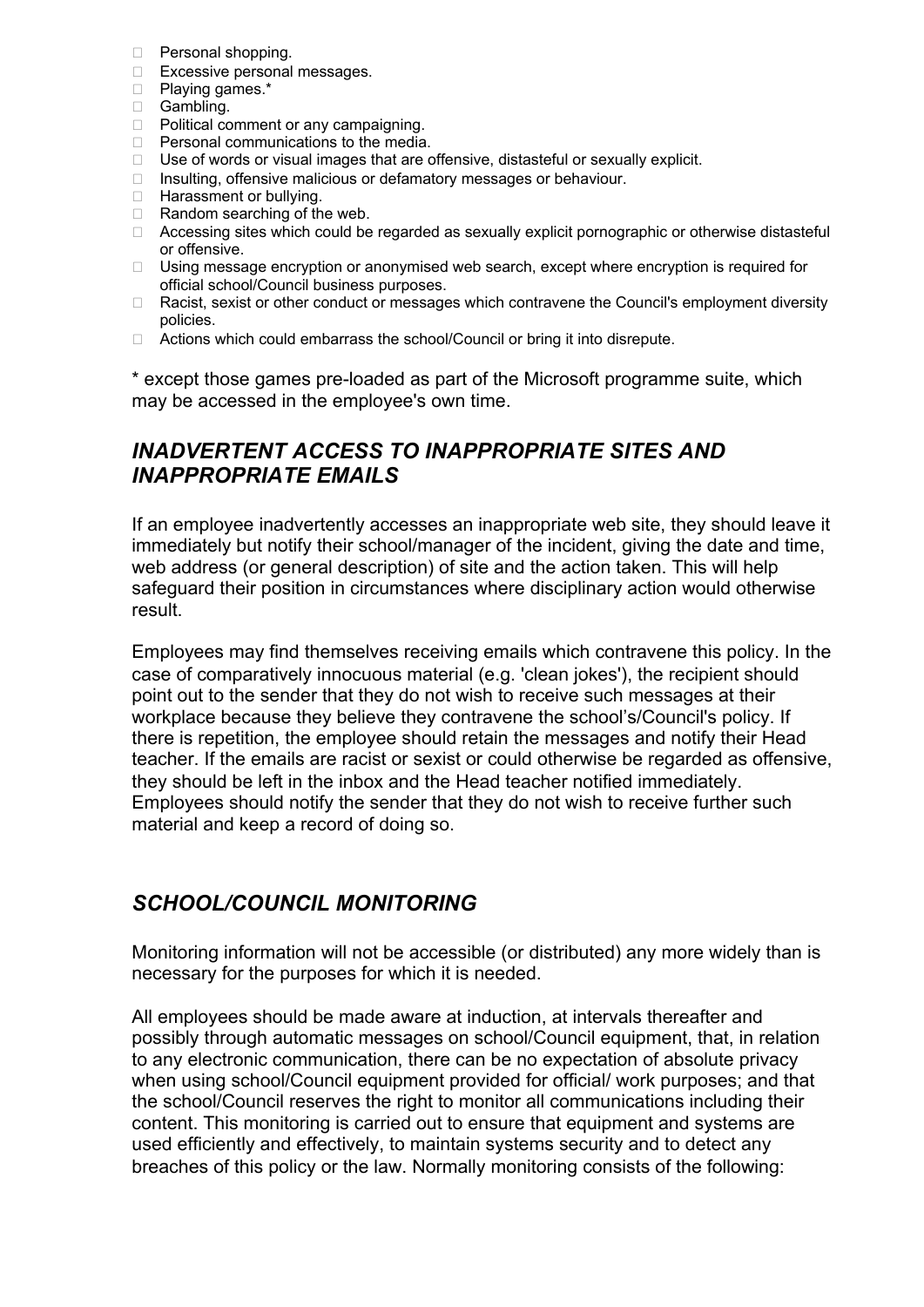- **Personal shopping.**
- □ Excessive personal messages.
- Playing games.\*
- Gambling.
- D Political comment or any campaigning.
- $\Box$  Personal communications to the media.
- □ Use of words or visual images that are offensive, distasteful or sexually explicit.
- $\Box$  Insulting, offensive malicious or defamatory messages or behaviour.
- □ Harassment or bullying.
- $\Box$  Random searching of the web.
- □ Accessing sites which could be regarded as sexually explicit pornographic or otherwise distasteful or offensive.
- □ Using message encryption or anonymised web search, except where encryption is required for official school/Council business purposes.
- □ Racist, sexist or other conduct or messages which contravene the Council's employment diversity policies.
- □ Actions which could embarrass the school/Council or bring it into disrepute.

\* except those games pre-loaded as part of the Microsoft programme suite, which may be accessed in the employee's own time.

### *INADVERTENT ACCESS TO INAPPROPRIATE SITES AND INAPPROPRIATE EMAILS*

If an employee inadvertently accesses an inappropriate web site, they should leave it immediately but notify their school/manager of the incident, giving the date and time, web address (or general description) of site and the action taken. This will help safeguard their position in circumstances where disciplinary action would otherwise result.

Employees may find themselves receiving emails which contravene this policy. In the case of comparatively innocuous material (e.g. 'clean jokes'), the recipient should point out to the sender that they do not wish to receive such messages at their workplace because they believe they contravene the school's/Council's policy. If there is repetition, the employee should retain the messages and notify their Head teacher. If the emails are racist or sexist or could otherwise be regarded as offensive, they should be left in the inbox and the Head teacher notified immediately. Employees should notify the sender that they do not wish to receive further such material and keep a record of doing so.

### *SCHOOL/COUNCIL MONITORING*

Monitoring information will not be accessible (or distributed) any more widely than is necessary for the purposes for which it is needed.

All employees should be made aware at induction, at intervals thereafter and possibly through automatic messages on school/Council equipment, that, in relation to any electronic communication, there can be no expectation of absolute privacy when using school/Council equipment provided for official/ work purposes; and that the school/Council reserves the right to monitor all communications including their content. This monitoring is carried out to ensure that equipment and systems are used efficiently and effectively, to maintain systems security and to detect any breaches of this policy or the law. Normally monitoring consists of the following: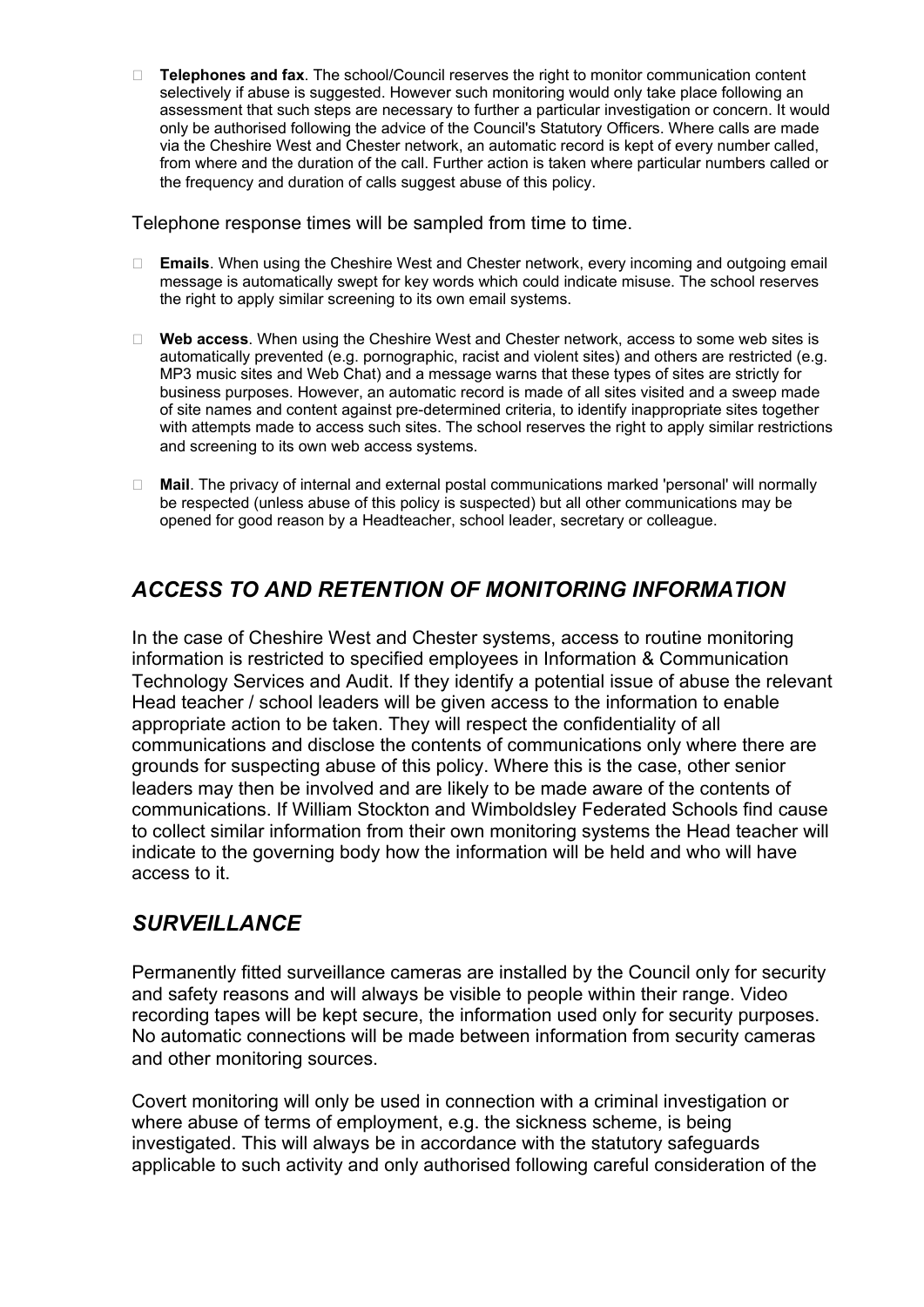**Telephones and fax**. The school/Council reserves the right to monitor communication content selectively if abuse is suggested. However such monitoring would only take place following an assessment that such steps are necessary to further a particular investigation or concern. It would only be authorised following the advice of the Council's Statutory Officers. Where calls are made via the Cheshire West and Chester network, an automatic record is kept of every number called, from where and the duration of the call. Further action is taken where particular numbers called or the frequency and duration of calls suggest abuse of this policy.

Telephone response times will be sampled from time to time.

- **Emails**. When using the Cheshire West and Chester network, every incoming and outgoing email message is automatically swept for key words which could indicate misuse. The school reserves the right to apply similar screening to its own email systems.
- **Web access**. When using the Cheshire West and Chester network, access to some web sites is automatically prevented (e.g. pornographic, racist and violent sites) and others are restricted (e.g. MP3 music sites and Web Chat) and a message warns that these types of sites are strictly for business purposes. However, an automatic record is made of all sites visited and a sweep made of site names and content against pre-determined criteria, to identify inappropriate sites together with attempts made to access such sites. The school reserves the right to apply similar restrictions and screening to its own web access systems.
- **Mail**. The privacy of internal and external postal communications marked 'personal' will normally be respected (unless abuse of this policy is suspected) but all other communications may be opened for good reason by a Headteacher, school leader, secretary or colleague.

## *ACCESS TO AND RETENTION OF MONITORING INFORMATION*

In the case of Cheshire West and Chester systems, access to routine monitoring information is restricted to specified employees in Information & Communication Technology Services and Audit. If they identify a potential issue of abuse the relevant Head teacher / school leaders will be given access to the information to enable appropriate action to be taken. They will respect the confidentiality of all communications and disclose the contents of communications only where there are grounds for suspecting abuse of this policy. Where this is the case, other senior leaders may then be involved and are likely to be made aware of the contents of communications. If William Stockton and Wimboldsley Federated Schools find cause to collect similar information from their own monitoring systems the Head teacher will indicate to the governing body how the information will be held and who will have access to it.

### *SURVEILLANCE*

Permanently fitted surveillance cameras are installed by the Council only for security and safety reasons and will always be visible to people within their range. Video recording tapes will be kept secure, the information used only for security purposes. No automatic connections will be made between information from security cameras and other monitoring sources.

Covert monitoring will only be used in connection with a criminal investigation or where abuse of terms of employment, e.g. the sickness scheme, is being investigated. This will always be in accordance with the statutory safeguards applicable to such activity and only authorised following careful consideration of the